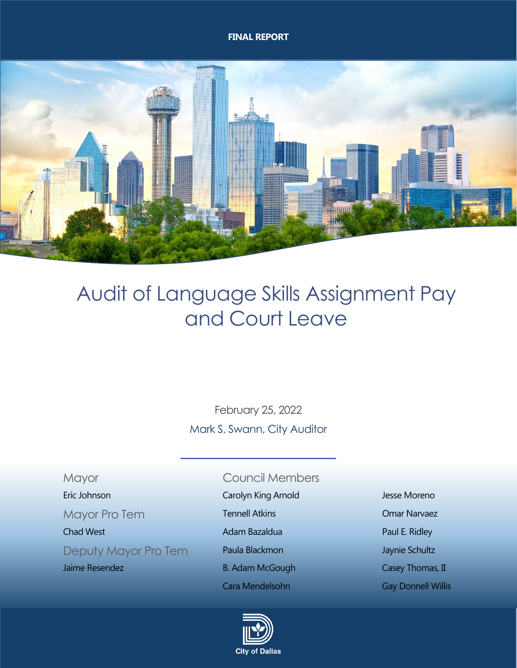#### **FINAL REPORT**



# Audit of Language Skills Assignment Pay and Court Leave

February 25, 2022 Mark S. Swann, City Auditor

# <span id="page-0-0"></span>Mayor Council Members

Deputy Mayor Pro Tem Paula Blackmon Deputy Maynie Schultz

- Eric Johnson Carolyn King Arnold Jesse Moreno
- Mayor Pro Tem **Tennell Atkins Communist Communist Communist Communist Communist Communist Communist Communist Communist Communist Communist Communist Communist Communist Communist Communist Communist Communist Communist** 
	-
	-
	-
	-



Chad West **Adam Bazaldua** Paul E. Ridley **Chad West Paul E. Ridley** Jaime Resendez **B. Adam McGough Casey Thomas, II** Cara Mendelsohn Gay Donnell Willis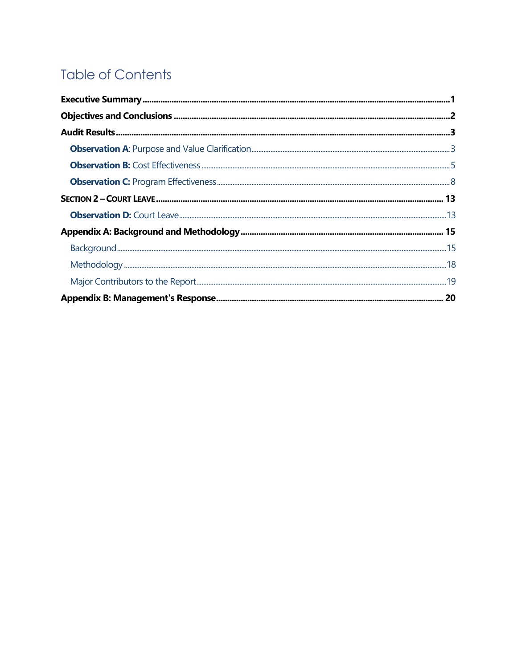# **Table of Contents**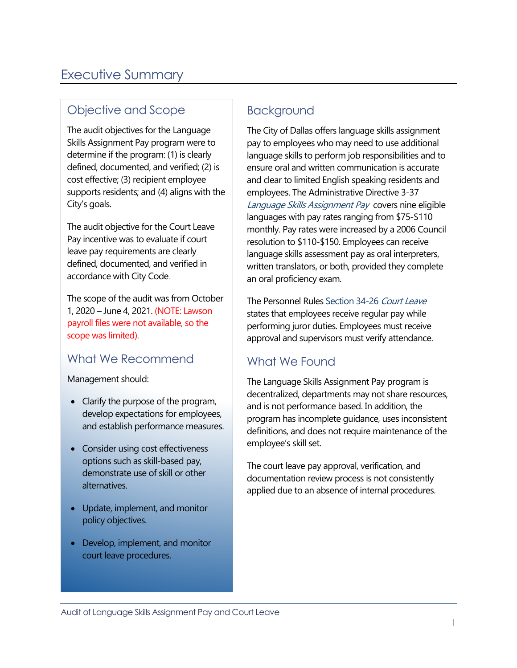# <span id="page-2-0"></span>[Executive Summary](#page-0-0)

# Objective and Scope

The audit objectives for the Language Skills Assignment Pay program were to determine if the program: (1) is clearly defined, documented, and verified; (2) is cost effective; (3) recipient employee supports residents; and (4) aligns with the City's goals.

The audit objective for the Court Leave Pay incentive was to evaluate if court leave pay requirements are clearly defined, documented, and verified in accordance with City Code.

The scope of the audit was from October 1, 2020 – June 4, 2021. (NOTE: Lawson payroll files were not available, so the scope was limited).

# What We Recommend

Management should:

- Clarify the purpose of the program, develop expectations for employees, and establish performance measures.
- Consider using cost effectiveness options such as skill-based pay, demonstrate use of skill or other alternatives.
- Update, implement, and monitor policy objectives.
- Develop, implement, and monitor court leave procedures.

# Background

The City of Dallas offers language skills assignment pay to employees who may need to use additional language skills to perform job responsibilities and to ensure oral and written communication is accurate and clear to limited English speaking residents and employees. The Administrative Directive 3-37 Language Skills Assignment Pay covers nine eligible languages with pay rates ranging from \$75-\$110 monthly. Pay rates were increased by a 2006 Council resolution to \$110-\$150. Employees can receive language skills assessment pay as oral interpreters, written translators, or both, provided they complete an oral proficiency exam.

The Personnel Rules Section 34-26 Court Leave states that employees receive regular pay while performing juror duties. Employees must receive approval and supervisors must verify attendance.

# What We Found

The Language Skills Assignment Pay program is decentralized, departments may not share resources, and is not performance based. In addition, the program has incomplete guidance, uses inconsistent definitions, and does not require maintenance of the employee's skill set.

The court leave pay approval, verification, and documentation review process is not consistently applied due to an absence of internal procedures.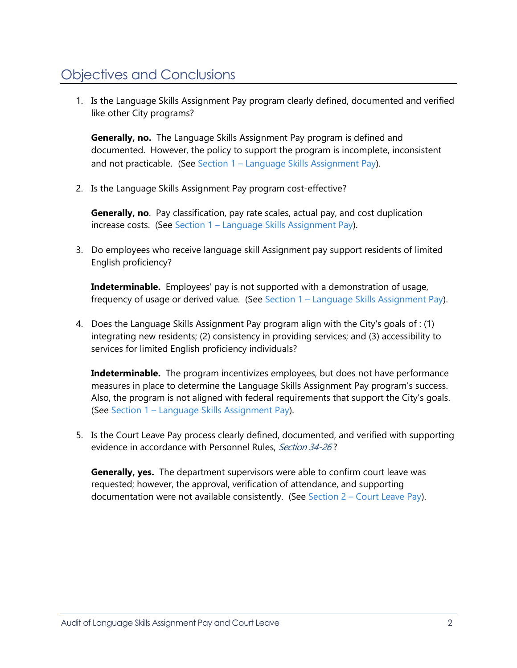# <span id="page-3-0"></span>[Objectives and Conclusions](#page-0-0)

1. Is the Language Skills Assignment Pay program clearly defined, documented and verified like other City programs?

**Generally, no.** The Language Skills Assignment Pay program is defined and documented. However, the policy to support the program is incomplete, inconsistent and not practicable. (See Section 1 – [Language Skills Assignment Pay\)](#page-4-2).

2. Is the Language Skills Assignment Pay program cost-effective?

**Generally, no**. Pay classification, pay rate scales, actual pay, and cost duplication increase costs. (See Section 1 – [Language Skills Assignment Pay\)](#page-4-2).

3. Do employees who receive language skill Assignment pay support residents of limited English proficiency?

**Indeterminable.** Employees' pay is not supported with a demonstration of usage, frequency of usage or derived value. (See Section 1 – [Language Skills Assignment Pay\)](#page-4-2).

4. Does the Language Skills Assignment Pay program align with the City's goals of : (1) integrating new residents; (2) consistency in providing services; and (3) accessibility to services for limited English proficiency individuals?

**Indeterminable.** The program incentivizes employees, but does not have performance measures in place to determine the Language Skills Assignment Pay program's success. Also, the program is not aligned with federal requirements that support the City's goals. (See Section 1 – [Language Skills Assignment Pay\)](#page-4-2).

5. Is the Court Leave Pay process clearly defined, documented, and verified with supporting evidence in accordance with Personnel Rules, Section 34-26?

**Generally, yes.** The department supervisors were able to confirm court leave was requested; however, the approval, verification of attendance, and supporting documentation were not available consistently. (See Section  $2 -$  [Court Leave Pay\)](#page-14-0).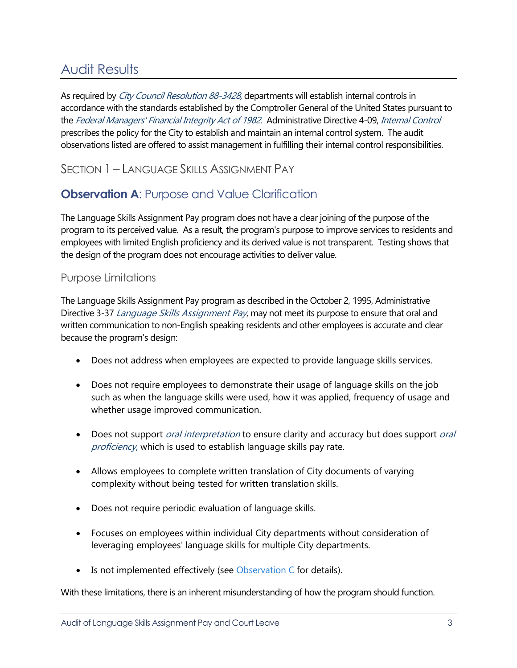# <span id="page-4-0"></span>[Audit Results](#page-0-0)

As required by City Council Resolution 88-3428, departments will establish internal controls in accordance with the standards established by the Comptroller General of the United States pursuant to the Federal Managers' Financial Integrity Act of 1982. Administrative Directive 4-09, Internal Control prescribes the policy for the City to establish and maintain an internal control system. The audit observations listed are offered to assist management in fulfilling their internal control responsibilities.

<span id="page-4-2"></span>SECTION 1 – LANGUAGE SKILLS ASSIGNMENT PAY

# <span id="page-4-1"></span>**Observation A[: Purpose and Value C](#page-0-0)larification**

The Language Skills Assignment Pay program does not have a clear joining of the purpose of the program to its perceived value. As a result, the program's purpose to improve services to residents and employees with limited English proficiency and its derived value is not transparent. Testing shows that the design of the program does not encourage activities to deliver value.

### Purpose Limitations

The Language Skills Assignment Pay program as described in the October 2, 1995, Administrative Directive 3-37 Language Skills Assignment Pay, may not meet its purpose to ensure that oral and written communication to non-English speaking residents and other employees is accurate and clear because the program's design:

- Does not address when employees are expected to provide language skills services.
- Does not require employees to demonstrate their usage of language skills on the job such as when the language skills were used, how it was applied, frequency of usage and whether usage improved communication.
- Does not support *oral interpretation* to ensure clarity and accuracy but does support *oral* proficiency, which is used to establish language skills pay rate.
- Allows employees to complete written translation of City documents of varying complexity without being tested for written translation skills.
- Does not require periodic evaluation of language skills.
- Focuses on employees within individual City departments without consideration of leveraging employees' language skills for multiple City departments.
- Is not implemented effectively (see [Observation C](#page-9-0) for details).

With these limitations, there is an inherent misunderstanding of how the program should function.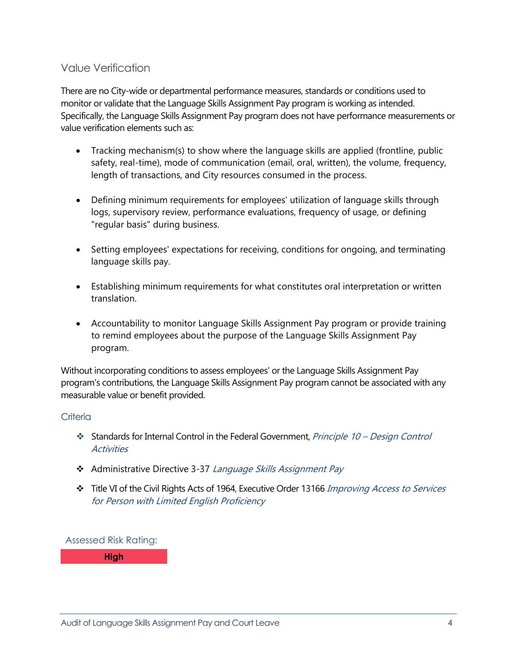### Value Verification

There are no City-wide or departmental performance measures, standards or conditions used to monitor or validate that the Language Skills Assignment Pay program is working as intended. Specifically, the Language Skills Assignment Pay program does not have performance measurements or value verification elements such as:

- Tracking mechanism(s) to show where the language skills are applied (frontline, public safety, real-time), mode of communication (email, oral, written), the volume, frequency, length of transactions, and City resources consumed in the process.
- Defining minimum requirements for employees' utilization of language skills through logs, supervisory review, performance evaluations, frequency of usage, or defining "regular basis" during business.
- Setting employees' expectations for receiving, conditions for ongoing, and terminating language skills pay.
- Establishing minimum requirements for what constitutes oral interpretation or written translation.
- Accountability to monitor Language Skills Assignment Pay program or provide training to remind employees about the purpose of the Language Skills Assignment Pay program.

Without incorporating conditions to assess employees' or the Language Skills Assignment Pay program's contributions, the Language Skills Assignment Pay program cannot be associated with any measurable value or benefit provided.

### **Criteria**

- ❖ Standards for Internal Control in the Federal Government, *Principle 10 Design Control* **Activities**
- \* Administrative Directive 3-37 Language Skills Assignment Pay
- \* Title VI of the Civil Rights Acts of 1964, Executive Order 13166 Improving Access to Services for Person with Limited English Proficiency

Assessed Risk Rating:

**High**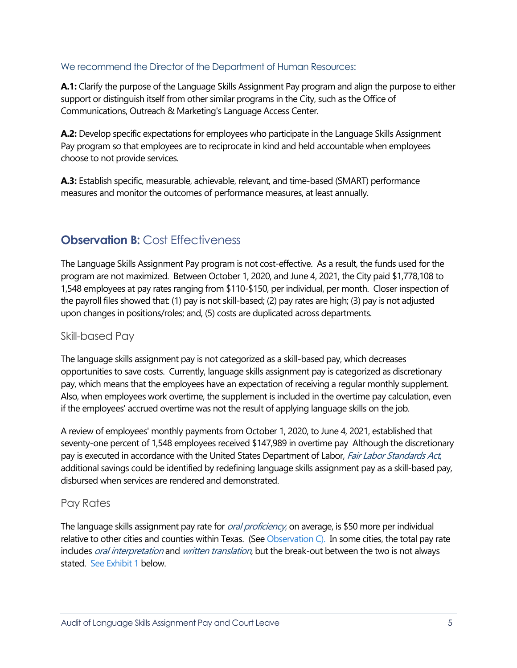### We recommend the Director of the Department of Human Resources:

**A.1:** Clarify the purpose of the Language Skills Assignment Pay program and align the purpose to either support or distinguish itself from other similar programs in the City, such as the Office of Communications, Outreach & Marketing's Language Access Center.

**A.2:** Develop specific expectations for employees who participate in the Language Skills Assignment Pay program so that employees are to reciprocate in kind and held accountable when employees choose to not provide services.

**A.3:** Establish specific, measurable, achievable, relevant, and time-based (SMART) performance measures and monitor the outcomes of performance measures, at least annually.

# <span id="page-6-0"></span>**[Observation B:](#page-0-0) Cost Effectiveness**

The Language Skills Assignment Pay program is not cost-effective. As a result, the funds used for the program are not maximized. Between October 1, 2020, and June 4, 2021, the City paid \$1,778,108 to 1,548 employees at pay rates ranging from \$110-\$150, per individual, per month. Closer inspection of the payroll files showed that: (1) pay is not skill-based; (2) pay rates are high; (3) pay is not adjusted upon changes in positions/roles; and, (5) costs are duplicated across departments.

### Skill-based Pay

The language skills assignment pay is not categorized as a skill-based pay, which decreases opportunities to save costs. Currently, language skills assignment pay is categorized as discretionary pay, which means that the employees have an expectation of receiving a regular monthly supplement. Also, when employees work overtime, the supplement is included in the overtime pay calculation, even if the employees' accrued overtime was not the result of applying language skills on the job.

A review of employees' monthly payments from October 1, 2020, to June 4, 2021, established that seventy-one percent of 1,548 employees received \$147,989 in overtime pay Although the discretionary pay is executed in accordance with the United States Department of Labor, Fair Labor Standards Act, additional savings could be identified by redefining language skills assignment pay as a skill-based pay, disbursed when services are rendered and demonstrated.

### Pay Rates

The language skills assignment pay rate for *oral proficiency*, on average, is \$50 more per individual relative to other cities and counties within Texas. (See [Observation C\)](#page-9-0). In some cities, the total pay rate includes *oral interpretation* and *written translation*, but the break-out between the two is not always stated. See Exhibit 1 below.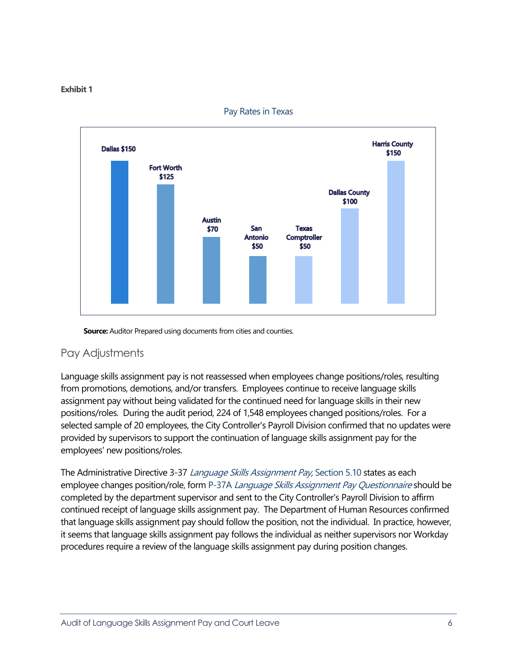#### **Exhibit 1**



Pay Rates in Texas

**Source:** Auditor Prepared using documents from cities and counties.

### Pay Adjustments

Language skills assignment pay is not reassessed when employees change positions/roles, resulting from promotions, demotions, and/or transfers. Employees continue to receive language skills assignment pay without being validated for the continued need for language skills in their new positions/roles. During the audit period, 224 of 1,548 employees changed positions/roles. For a selected sample of 20 employees, the City Controller's Payroll Division confirmed that no updates were provided by supervisors to support the continuation of language skills assignment pay for the employees' new positions/roles.

The Administrative Directive 3-37 Language Skills Assignment Pay, Section 5.10 states as each employee changes position/role, form P-37A *Language Skills Assignment Pay Questionnaire* should be completed by the department supervisor and sent to the City Controller's Payroll Division to affirm continued receipt of language skills assignment pay. The Department of Human Resources confirmed that language skills assignment pay should follow the position, not the individual. In practice, however, it seems that language skills assignment pay follows the individual as neither supervisors nor Workday procedures require a review of the language skills assignment pay during position changes.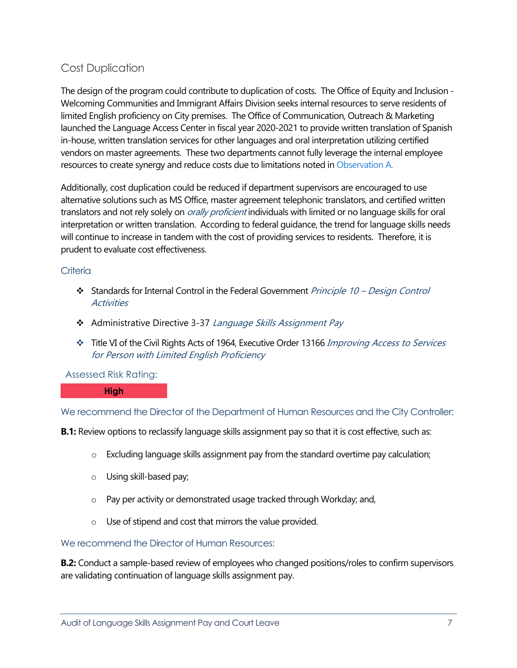# Cost Duplication

The design of the program could contribute to duplication of costs. The Office of Equity and Inclusion - Welcoming Communities and Immigrant Affairs Division seeks internal resources to serve residents of limited English proficiency on City premises. The Office of Communication, Outreach & Marketing launched the Language Access Center in fiscal year 2020-2021 to provide written translation of Spanish in-house, written translation services for other languages and oral interpretation utilizing certified vendors on master agreements. These two departments cannot fully leverage the internal employee resources to create synergy and reduce costs due to limitations noted in [Observation A.](#page-4-1)

Additionally, cost duplication could be reduced if department supervisors are encouraged to use alternative solutions such as MS Office, master agreement telephonic translators, and certified written translators and not rely solely on *orally proficient* individuals with limited or no language skills for oral interpretation or written translation. According to federal guidance, the trend for language skills needs will continue to increase in tandem with the cost of providing services to residents. Therefore, it is prudent to evaluate cost effectiveness.

#### **Criteria**

- Standards for Internal Control in the Federal Government *Principle 10 Design Control* **Activities**
- \* Administrative Directive 3-37 Language Skills Assignment Pay
- Title VI of the Civil Rights Acts of 1964, Executive Order 13166 Improving Access to Services for Person with Limited English Proficiency

#### Assessed Risk Rating:

#### **High**

We recommend the Director of the Department of Human Resources and the City Controller:

**B.1:** Review options to reclassify language skills assignment pay so that it is cost effective, such as:

- o Excluding language skills assignment pay from the standard overtime pay calculation;
- o Using skill-based pay;
- o Pay per activity or demonstrated usage tracked through Workday; and,
- o Use of stipend and cost that mirrors the value provided.

#### We recommend the Director of Human Resources:

**B.2:** Conduct a sample-based review of employees who changed positions/roles to confirm supervisors are validating continuation of language skills assignment pay.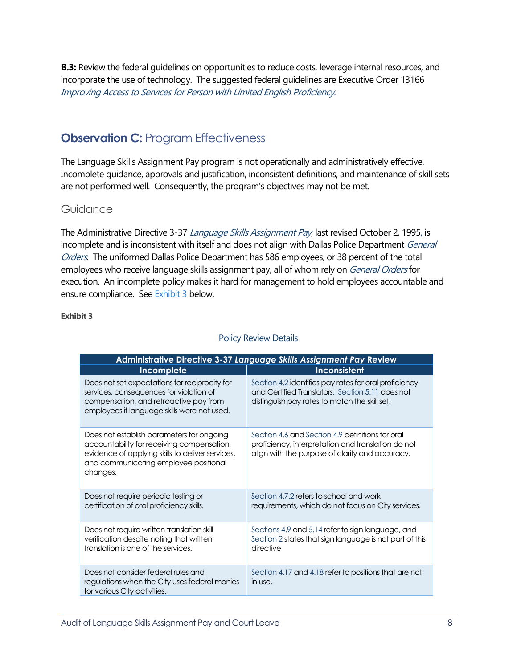**B.3:** Review the federal guidelines on opportunities to reduce costs, leverage internal resources, and incorporate the use of technology. The suggested federal guidelines are Executive Order 13166 Improving Access to Services for Person with Limited English Proficiency.

# <span id="page-9-0"></span>**Observation C: Program Effectiveness**

The Language Skills Assignment Pay program is not operationally and administratively effective. Incomplete guidance, approvals and justification, inconsistent definitions, and maintenance of skill sets are not performed well. Consequently, the program's objectives may not be met.

### Guidance

The Administrative Directive 3-37 Language Skills Assignment Pay, last revised October 2, 1995, is incomplete and is inconsistent with itself and does not align with Dallas Police Department General Orders. The uniformed Dallas Police Department has 586 employees, or 38 percent of the total employees who receive language skills assignment pay, all of whom rely on *General Orders* for execution. An incomplete policy makes it hard for management to hold employees accountable and ensure compliance. See Exhibit 3 below.

#### **Exhibit 3**

| Administrative Directive 3-37 Language Skills Assignment Pay Review                                                                                                                              |                                                                                                                                                            |  |  |  |  |
|--------------------------------------------------------------------------------------------------------------------------------------------------------------------------------------------------|------------------------------------------------------------------------------------------------------------------------------------------------------------|--|--|--|--|
| Incomplete                                                                                                                                                                                       | <b>Inconsistent</b>                                                                                                                                        |  |  |  |  |
| Does not set expectations for reciprocity for<br>services, consequences for violation of<br>compensation, and retroactive pay from<br>employees if language skills were not used.                | Section 4.2 identifies pay rates for oral proficiency<br>and Certified Translators. Section 5.11 does not<br>distinguish pay rates to match the skill set. |  |  |  |  |
| Does not establish parameters for ongoing<br>accountability for receiving compensation,<br>evidence of applying skills to deliver services,<br>and communicating employee positional<br>changes. | Section 4.6 and Section 4.9 definitions for oral<br>proficiency, interpretation and translation do not<br>align with the purpose of clarity and accuracy.  |  |  |  |  |
| Does not require periodic testing or<br>certification of oral proficiency skills.                                                                                                                | Section 4.7.2 refers to school and work<br>requirements, which do not focus on City services.                                                              |  |  |  |  |
| Does not require written translation skill<br>verification despite noting that written<br>translation is one of the services.                                                                    | Sections 4.9 and 5.14 refer to sign language, and<br>Section 2 states that sign language is not part of this<br>directive                                  |  |  |  |  |
| Does not consider federal rules and<br>regulations when the City uses federal monies<br>for various City activities.                                                                             | Section 4.17 and 4.18 refer to positions that are not<br>in use.                                                                                           |  |  |  |  |

#### Policy Review Details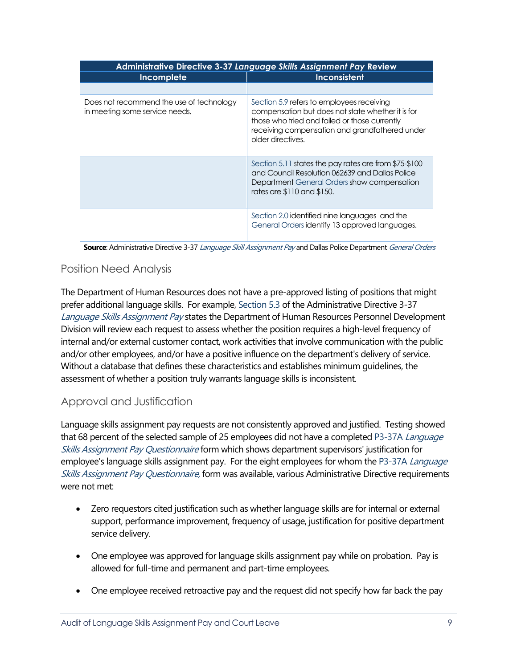| Administrative Directive 3-37 Language Skills Assignment Pay Review        |                                                                                                                                                                                                                        |  |  |  |  |  |
|----------------------------------------------------------------------------|------------------------------------------------------------------------------------------------------------------------------------------------------------------------------------------------------------------------|--|--|--|--|--|
| Incomplete                                                                 | Inconsistent                                                                                                                                                                                                           |  |  |  |  |  |
|                                                                            |                                                                                                                                                                                                                        |  |  |  |  |  |
| Does not recommend the use of technology<br>in meeting some service needs. | Section 5.9 refers to employees receiving<br>compensation but does not state whether it is for<br>those who tried and failed or those currently<br>receiving compensation and grandfathered under<br>older directives. |  |  |  |  |  |
|                                                                            | Section 5.11 states the pay rates are from \$75-\$100<br>and Council Resolution 062639 and Dallas Police<br>Department General Orders show compensation<br>rates are \$110 and \$150.                                  |  |  |  |  |  |
|                                                                            | Section 2.0 identified nine languages and the<br>General Orders identify 13 approved languages.                                                                                                                        |  |  |  |  |  |

**Source**: Administrative Directive 3-37 Language Skill Assignment Pay and Dallas Police Department General Orders

### Position Need Analysis

The Department of Human Resources does not have a pre-approved listing of positions that might prefer additional language skills. For example, Section 5.3 of the Administrative Directive 3-37 Language Skills Assignment Pay states the Department of Human Resources Personnel Development Division will review each request to assess whether the position requires a high-level frequency of internal and/or external customer contact, work activities that involve communication with the public and/or other employees, and/or have a positive influence on the department's delivery of service. Without a database that defines these characteristics and establishes minimum guidelines, the assessment of whether a position truly warrants language skills is inconsistent.

# Approval and Justification

Language skills assignment pay requests are not consistently approved and justified. Testing showed that 68 percent of the selected sample of 25 employees did not have a completed P3-37A Language Skills Assignment Pay Questionnaire form which shows department supervisors' justification for employee's language skills assignment pay. For the eight employees for whom the P3-37A Language Skills Assignment Pay Questionnaire, form was available, various Administrative Directive requirements were not met:

- Zero requestors cited justification such as whether language skills are for internal or external support, performance improvement, frequency of usage, justification for positive department service delivery.
- One employee was approved for language skills assignment pay while on probation. Pay is allowed for full-time and permanent and part-time employees.
- One employee received retroactive pay and the request did not specify how far back the pay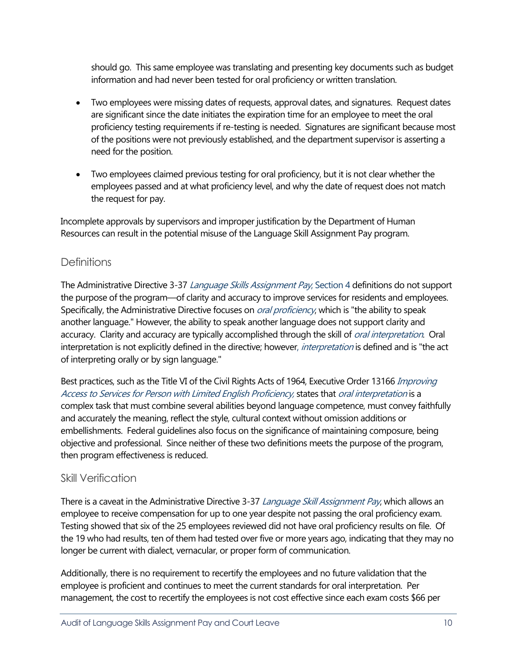should go. This same employee was translating and presenting key documents such as budget information and had never been tested for oral proficiency or written translation.

- Two employees were missing dates of requests, approval dates, and signatures. Request dates are significant since the date initiates the expiration time for an employee to meet the oral proficiency testing requirements if re-testing is needed. Signatures are significant because most of the positions were not previously established, and the department supervisor is asserting a need for the position.
- Two employees claimed previous testing for oral proficiency, but it is not clear whether the employees passed and at what proficiency level, and why the date of request does not match the request for pay.

Incomplete approvals by supervisors and improper justification by the Department of Human Resources can result in the potential misuse of the Language Skill Assignment Pay program.

# **Definitions**

The Administrative Directive 3-37 Language Skills Assignment Pay, Section 4 definitions do not support the purpose of the program—of clarity and accuracy to improve services for residents and employees. Specifically, the Administrative Directive focuses on *oral proficiency*, which is "the ability to speak another language." However, the ability to speak another language does not support clarity and accuracy. Clarity and accuracy are typically accomplished through the skill of *oral interpretation*. Oral interpretation is not explicitly defined in the directive; however, *interpretation* is defined and is "the act of interpreting orally or by sign language."

Best practices, such as the Title VI of the Civil Rights Acts of 1964, Executive Order 13166 Improving Access to Services for Person with Limited English Proficiency, states that oral interpretation is a complex task that must combine several abilities beyond language competence, must convey faithfully and accurately the meaning, reflect the style, cultural context without omission additions or embellishments. Federal guidelines also focus on the significance of maintaining composure, being objective and professional. Since neither of these two definitions meets the purpose of the program, then program effectiveness is reduced.

# Skill Verification

There is a caveat in the Administrative Directive 3-37 Language Skill Assignment Pay, which allows an employee to receive compensation for up to one year despite not passing the oral proficiency exam. Testing showed that six of the 25 employees reviewed did not have oral proficiency results on file. Of the 19 who had results, ten of them had tested over five or more years ago, indicating that they may no longer be current with dialect, vernacular, or proper form of communication.

Additionally, there is no requirement to recertify the employees and no future validation that the employee is proficient and continues to meet the current standards for oral interpretation. Per management, the cost to recertify the employees is not cost effective since each exam costs \$66 per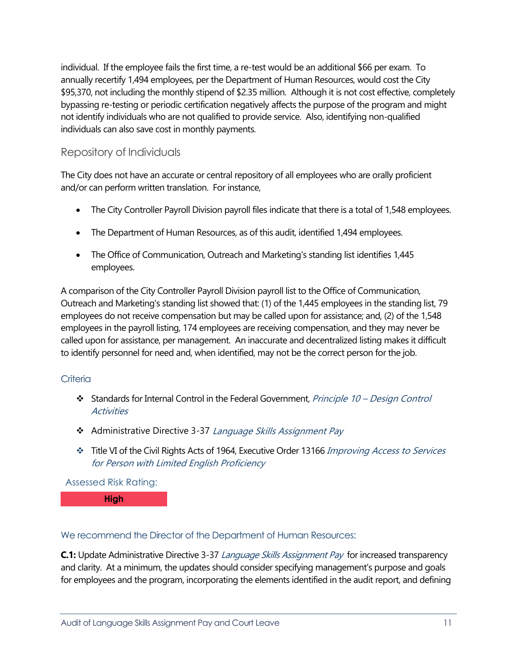individual. If the employee fails the first time, a re-test would be an additional \$66 per exam. To annually recertify 1,494 employees, per the Department of Human Resources, would cost the City \$95,370, not including the monthly stipend of \$2.35 million. Although it is not cost effective, completely bypassing re-testing or periodic certification negatively affects the purpose of the program and might not identify individuals who are not qualified to provide service. Also, identifying non-qualified individuals can also save cost in monthly payments.

# Repository of Individuals

The City does not have an accurate or central repository of all employees who are orally proficient and/or can perform written translation. For instance,

- The City Controller Payroll Division payroll files indicate that there is a total of 1,548 employees.
- The Department of Human Resources, as of this audit, identified 1,494 employees.
- The Office of Communication, Outreach and Marketing's standing list identifies 1,445 employees.

A comparison of the City Controller Payroll Division payroll list to the Office of Communication, Outreach and Marketing's standing list showed that: (1) of the 1,445 employees in the standing list, 79 employees do not receive compensation but may be called upon for assistance; and, (2) of the 1,548 employees in the payroll listing, 174 employees are receiving compensation, and they may never be called upon for assistance, per management. An inaccurate and decentralized listing makes it difficult to identify personnel for need and, when identified, may not be the correct person for the job.

### **Criteria**

- Standards for Internal Control in the Federal Government, Principle 10 Design Control **Activities**
- \* Administrative Directive 3-37 Language Skills Assignment Pay
- Title VI of the Civil Rights Acts of 1964, Executive Order 13166 Improving Access to Services for Person with Limited English Proficiency

### Assessed Risk Rating:

**High**

### We recommend the Director of the Department of Human Resources:

**C.1:** Update Administrative Directive 3-37 Language Skills Assignment Pay for increased transparency and clarity. At a minimum, the updates should consider specifying management's purpose and goals for employees and the program, incorporating the elements identified in the audit report, and defining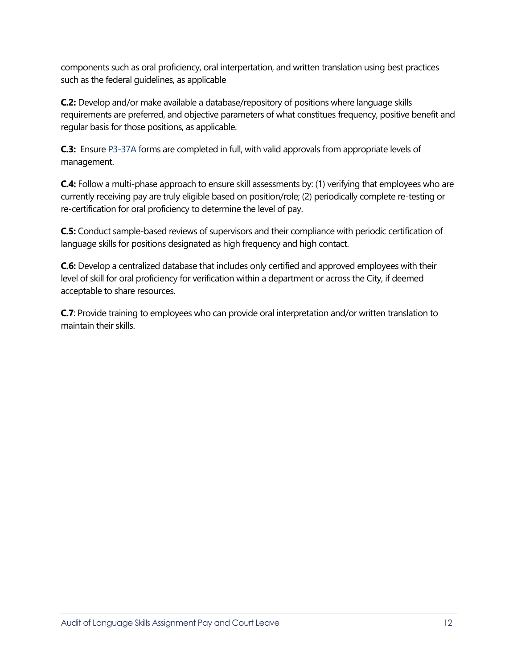components such as oral proficiency, oral interpertation, and written translation using best practices such as the federal guidelines, as applicable

**C.2:** Develop and/or make available a database/repository of positions where language skills requirements are preferred, and objective parameters of what constitues frequency, positive benefit and regular basis for those positions, as applicable.

**C.3:** Ensure P3-37A forms are completed in full, with valid approvals from appropriate levels of management.

**C.4:** Follow a multi-phase approach to ensure skill assessments by: (1) verifying that employees who are currently receiving pay are truly eligible based on position/role; (2) periodically complete re-testing or re-certification for oral proficiency to determine the level of pay.

**C.5:** Conduct sample-based reviews of supervisors and their compliance with periodic certification of language skills for positions designated as high frequency and high contact.

**C.6:** Develop a centralized database that includes only certified and approved employees with their level of skill for oral proficiency for verification within a department or across the City, if deemed acceptable to share resources.

**C.7**: Provide training to employees who can provide oral interpretation and/or written translation to maintain their skills.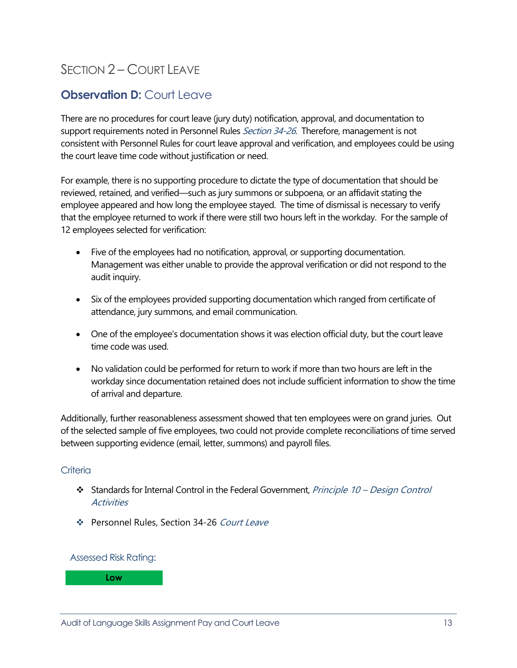# <span id="page-14-0"></span>SECTION 2 – [COURT LEAVE](#page-0-0)

# <span id="page-14-1"></span>**Observation D: [Court Leave](#page-0-0)**

There are no procedures for court leave (jury duty) notification, approval, and documentation to support requirements noted in Personnel Rules *Section 34-26*. Therefore, management is not consistent with Personnel Rules for court leave approval and verification, and employees could be using the court leave time code without justification or need.

For example, there is no supporting procedure to dictate the type of documentation that should be reviewed, retained, and verified—such as jury summons or subpoena, or an affidavit stating the employee appeared and how long the employee stayed. The time of dismissal is necessary to verify that the employee returned to work if there were still two hours left in the workday. For the sample of 12 employees selected for verification:

- Five of the employees had no notification, approval, or supporting documentation. Management was either unable to provide the approval verification or did not respond to the audit inquiry.
- Six of the employees provided supporting documentation which ranged from certificate of attendance, jury summons, and email communication.
- One of the employee's documentation shows it was election official duty, but the court leave time code was used.
- No validation could be performed for return to work if more than two hours are left in the workday since documentation retained does not include sufficient information to show the time of arrival and departure.

Additionally, further reasonableness assessment showed that ten employees were on grand juries. Out of the selected sample of five employees, two could not provide complete reconciliations of time served between supporting evidence (email, letter, summons) and payroll files.

#### **Criteria**

- Standards for Internal Control in the Federal Government, Principle 10 Design Control **Activities**
- Personnel Rules, Section 34-26 Court Leave

#### Assessed Risk Rating:

**Low**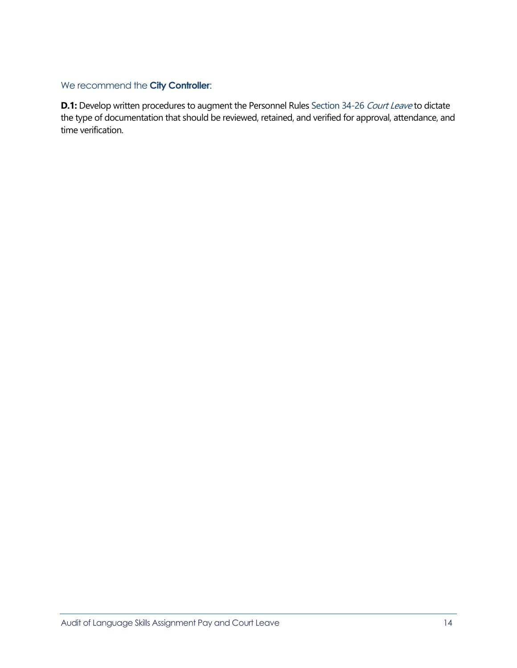### We recommend the **City Controller**:

**D.1:** Develop written procedures to augment the Personnel Rules Section 34-26 Court Leave to dictate the type of documentation that should be reviewed, retained, and verified for approval, attendance, and time verification.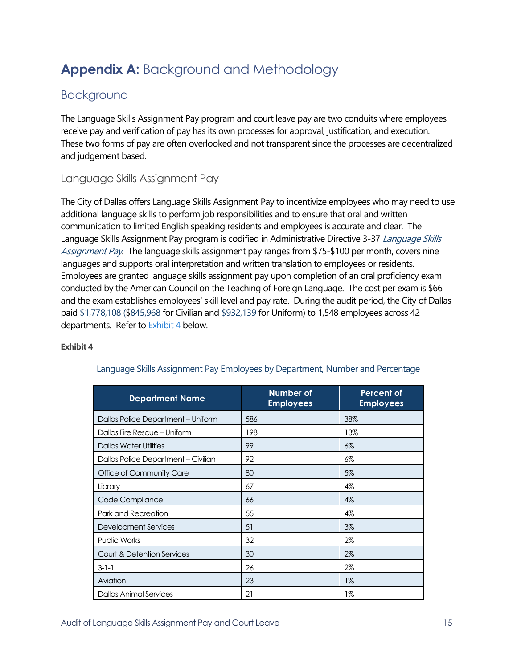# <span id="page-16-0"></span>**Appendix A:** [Background and Methodology](#page-0-0)

# <span id="page-16-1"></span>[Background](#page-0-0)

The Language Skills Assignment Pay program and court leave pay are two conduits where employees receive pay and verification of pay has its own processes for approval, justification, and execution. These two forms of pay are often overlooked and not transparent since the processes are decentralized and judgement based.

# Language Skills Assignment Pay

The City of Dallas offers Language Skills Assignment Pay to incentivize employees who may need to use additional language skills to perform job responsibilities and to ensure that oral and written communication to limited English speaking residents and employees is accurate and clear. The Language Skills Assignment Pay program is codified in Administrative Directive 3-37 Language Skills Assignment Pay. The language skills assignment pay ranges from \$75-\$100 per month, covers nine languages and supports oral interpretation and written translation to employees or residents. Employees are granted language skills assignment pay upon completion of an oral proficiency exam conducted by the American Council on the Teaching of Foreign Language. The cost per exam is \$66 and the exam establishes employees' skill level and pay rate. During the audit period, the City of Dallas paid \$1,778,108 (\$845,968 for Civilian and \$932,139 for Uniform) to 1,548 employees across 42 departments. Refer to Exhibit 4 below.

### **Exhibit 4**

| <b>Department Name</b>              | <b>Number of</b><br><b>Employees</b> | <b>Percent of</b><br><b>Employees</b> |
|-------------------------------------|--------------------------------------|---------------------------------------|
| Dallas Police Department - Uniform  | 586                                  | 38%                                   |
| Dallas Fire Rescue - Uniform        | 198                                  | 13%                                   |
| <b>Dallas Water Utilities</b>       | 99                                   | $6\%$                                 |
| Dallas Police Department - Civilian | 92                                   | 6%                                    |
| Office of Community Care            | 80                                   | 5%                                    |
| Library                             | 67                                   | 4%                                    |
| Code Compliance                     | 66                                   | 4%                                    |
| Park and Recreation                 | 55                                   | 4%                                    |
| <b>Development Services</b>         | 51                                   | $3\%$                                 |
| Public Works                        | 32                                   | 2%                                    |
| Court & Detention Services          | 30                                   | $2\%$                                 |
| $3-1-1$                             | 26                                   | 2%                                    |
| Aviation                            | 23                                   | $1\%$                                 |
| Dallas Animal Services              | 21                                   | 1%                                    |

### Language Skills Assignment Pay Employees by Department, Number and Percentage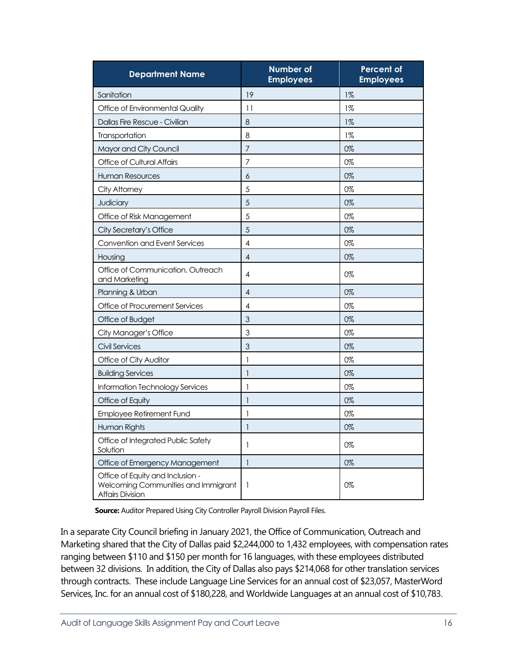| <b>Department Name</b>                                                                             | <b>Number of</b><br><b>Employees</b> | <b>Percent of</b><br><b>Employees</b> |
|----------------------------------------------------------------------------------------------------|--------------------------------------|---------------------------------------|
| Sanitation                                                                                         | 19                                   | $1\%$                                 |
| Office of Environmental Quality                                                                    | 11                                   | $1\%$                                 |
| Dallas Fire Rescue - Civilian                                                                      | 8                                    | $1\%$                                 |
| Transportation                                                                                     | 8                                    | $1\%$                                 |
| Mayor and City Council                                                                             | $\overline{7}$                       | 0%                                    |
| Office of Cultural Affairs                                                                         | $\overline{7}$                       | 0%                                    |
| <b>Human Resources</b>                                                                             | 6                                    | 0%                                    |
| City Attorney                                                                                      | 5                                    | 0%                                    |
| Judiciary                                                                                          | 5                                    | 0%                                    |
| Office of Risk Management                                                                          | 5                                    | 0%                                    |
| City Secretary's Office                                                                            | 5                                    | 0%                                    |
| Convention and Event Services                                                                      | $\overline{\mathcal{A}}$             | 0%                                    |
| Housing                                                                                            | $\overline{4}$                       | 0%                                    |
| Office of Communication, Outreach<br>and Marketing                                                 | 4                                    | 0%                                    |
| Planning & Urban                                                                                   | $\overline{\mathcal{A}}$             | 0%                                    |
| Office of Procurement Services                                                                     | $\overline{\mathcal{A}}$             | 0%                                    |
| Office of Budget                                                                                   | $\overline{3}$                       | 0%                                    |
| City Manager's Office                                                                              | 3                                    | 0%                                    |
| Civil Services                                                                                     | 3                                    | 0%                                    |
| Office of City Auditor                                                                             | $\mathbf{1}$                         | 0%                                    |
| <b>Building Services</b>                                                                           | $\mathbf{1}$                         | 0%                                    |
| Information Technology Services                                                                    | $\mathbf{I}$                         | 0%                                    |
| Office of Equity                                                                                   | $\mathbf{1}$                         | 0%                                    |
| <b>Employee Retirement Fund</b>                                                                    | 1                                    | 0%                                    |
| Human Rights                                                                                       | $\mathbf{1}$                         | 0%                                    |
| Office of Integrated Public Safety<br>Solution                                                     | 1                                    | 0%                                    |
| Office of Emergency Management                                                                     | $\mathbf{1}$                         | 0%                                    |
| Office of Equity and Inclusion -<br>Welcoming Communities and Immigrant<br><b>Affairs Division</b> | 1                                    | 0%                                    |

**Source:** Auditor Prepared Using City Controller Payroll Division Payroll Files.

In a separate City Council briefing in January 2021, the Office of Communication, Outreach and Marketing shared that the City of Dallas paid \$2,244,000 to 1,432 employees, with compensation rates ranging between \$110 and \$150 per month for 16 languages, with these employees distributed between 32 divisions. In addition, the City of Dallas also pays \$214,068 for other translation services through contracts. These include Language Line Services for an annual cost of \$23,057, MasterWord Services, Inc. for an annual cost of \$180,228, and Worldwide Languages at an annual cost of \$10,783.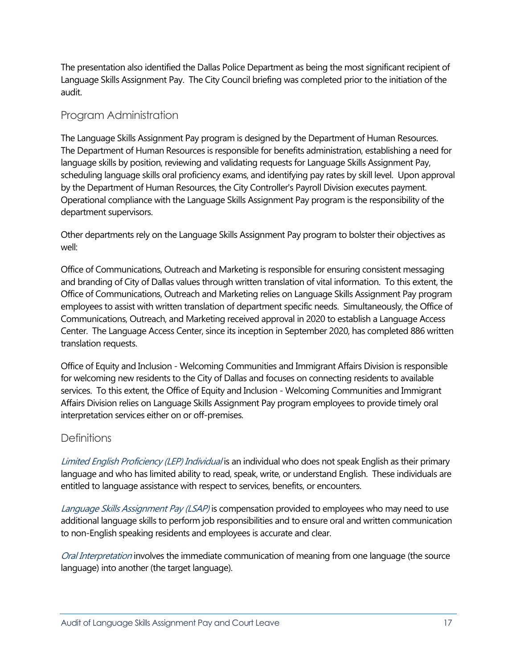The presentation also identified the Dallas Police Department as being the most significant recipient of Language Skills Assignment Pay. The City Council briefing was completed prior to the initiation of the audit.

### Program Administration

The Language Skills Assignment Pay program is designed by the Department of Human Resources. The Department of Human Resources is responsible for benefits administration, establishing a need for language skills by position, reviewing and validating requests for Language Skills Assignment Pay, scheduling language skills oral proficiency exams, and identifying pay rates by skill level. Upon approval by the Department of Human Resources, the City Controller's Payroll Division executes payment. Operational compliance with the Language Skills Assignment Pay program is the responsibility of the department supervisors.

Other departments rely on the Language Skills Assignment Pay program to bolster their objectives as well:

Office of Communications, Outreach and Marketing is responsible for ensuring consistent messaging and branding of City of Dallas values through written translation of vital information. To this extent, the Office of Communications, Outreach and Marketing relies on Language Skills Assignment Pay program employees to assist with written translation of department specific needs. Simultaneously, the Office of Communications, Outreach, and Marketing received approval in 2020 to establish a Language Access Center. The Language Access Center, since its inception in September 2020, has completed 886 written translation requests.

Office of Equity and Inclusion - Welcoming Communities and Immigrant Affairs Division is responsible for welcoming new residents to the City of Dallas and focuses on connecting residents to available services. To this extent, the Office of Equity and Inclusion - Welcoming Communities and Immigrant Affairs Division relies on Language Skills Assignment Pay program employees to provide timely oral interpretation services either on or off-premises.

# **Definitions**

Limited English Proficiency (LEP) Individual is an individual who does not speak English as their primary language and who has limited ability to read, speak, write, or understand English. These individuals are entitled to language assistance with respect to services, benefits, or encounters.

Language Skills Assignment Pay (LSAP) is compensation provided to employees who may need to use additional language skills to perform job responsibilities and to ensure oral and written communication to non-English speaking residents and employees is accurate and clear.

Oral Interpretation involves the immediate communication of meaning from one language (the source language) into another (the target language).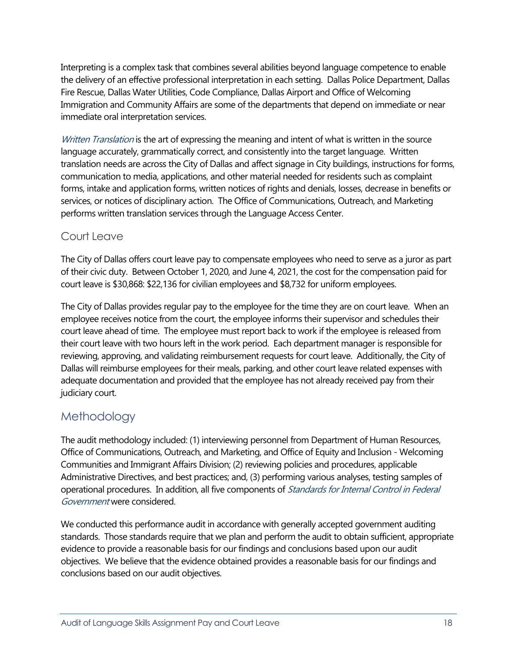Interpreting is a complex task that combines several abilities beyond language competence to enable the delivery of an effective professional interpretation in each setting. Dallas Police Department, Dallas Fire Rescue, Dallas Water Utilities, Code Compliance, Dallas Airport and Office of Welcoming Immigration and Community Affairs are some of the departments that depend on immediate or near immediate oral interpretation services.

Written Translation is the art of expressing the meaning and intent of what is written in the source language accurately, grammatically correct, and consistently into the target language. Written translation needs are across the City of Dallas and affect signage in City buildings, instructions for forms, communication to media, applications, and other material needed for residents such as complaint forms, intake and application forms, written notices of rights and denials, losses, decrease in benefits or services, or notices of disciplinary action. The Office of Communications, Outreach, and Marketing performs written translation services through the Language Access Center.

### Court Leave

The City of Dallas offers court leave pay to compensate employees who need to serve as a juror as part of their civic duty. Between October 1, 2020, and June 4, 2021, the cost for the compensation paid for court leave is \$30,868: \$22,136 for civilian employees and \$8,732 for uniform employees.

The City of Dallas provides regular pay to the employee for the time they are on court leave. When an employee receives notice from the court, the employee informs their supervisor and schedules their court leave ahead of time. The employee must report back to work if the employee is released from their court leave with two hours left in the work period. Each department manager is responsible for reviewing, approving, and validating reimbursement requests for court leave. Additionally, the City of Dallas will reimburse employees for their meals, parking, and other court leave related expenses with adequate documentation and provided that the employee has not already received pay from their judiciary court.

# <span id="page-19-0"></span>[Methodology](file://city.dallastx.cod/citydept/AUD/TeamMate/Up-to-date%20Templates%20FY%2022-23/Performance%20Audit%20Template%20and%20Sample%20Reports/Performance%20Audit%20Report%20Template%20(Draft%20Report)%20-%20with%20style%20notes.dotx#TOC)

The audit methodology included: (1) interviewing personnel from Department of Human Resources, Office of Communications, Outreach, and Marketing, and Office of Equity and Inclusion - Welcoming Communities and Immigrant Affairs Division; (2) reviewing policies and procedures, applicable Administrative Directives, and best practices; and, (3) performing various analyses, testing samples of operational procedures. In addition, all five components of *Standards for Internal Control in Federal* Government were considered.

We conducted this performance audit in accordance with generally accepted government auditing standards. Those standards require that we plan and perform the audit to obtain sufficient, appropriate evidence to provide a reasonable basis for our findings and conclusions based upon our audit objectives. We believe that the evidence obtained provides a reasonable basis for our findings and conclusions based on our audit objectives.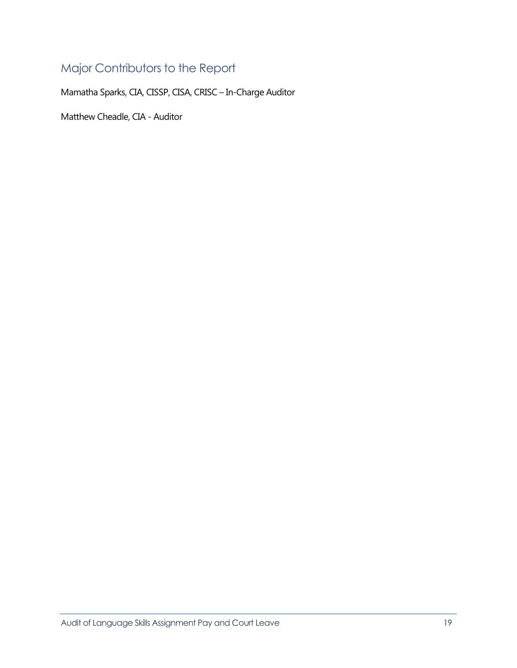# <span id="page-20-0"></span>[Major Contributors to the Report](#page-0-0)

Mamatha Sparks, CIA, CISSP, CISA, CRISC – In-Charge Auditor

Matthew Cheadle, CIA - Auditor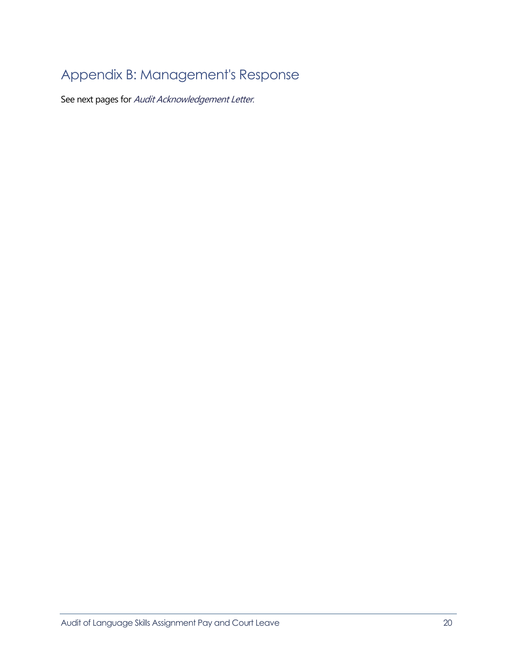# <span id="page-21-0"></span>[Appendix B: Management's Response](#page-0-0)

See next pages for Audit Acknowledgement Letter.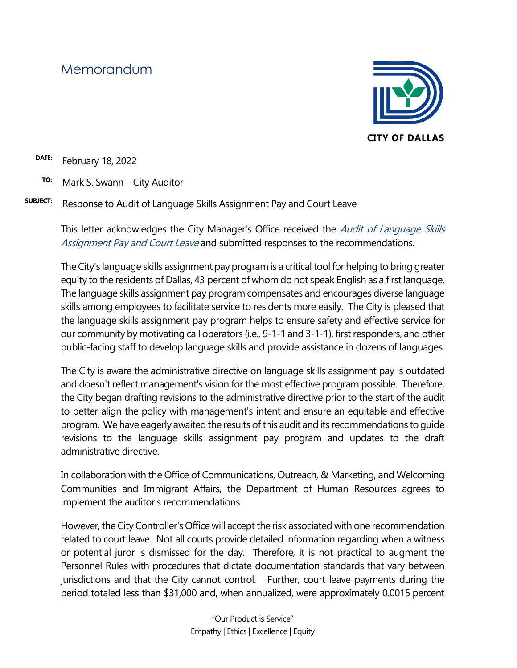# Memorandum



**DATE:** February 18, 2022

- **TO:** Mark S. Swann City Auditor
- **SUBJECT:** Response to Audit of Language Skills Assignment Pay and Court Leave

This letter acknowledges the City Manager's Office received the *Audit of Language Skills* Assignment Pay and Court Leave and submitted responses to the recommendations.

The City's language skills assignment pay program is a critical tool for helping to bring greater equity to the residents of Dallas, 43 percent of whom do not speak English as a first language. The language skills assignment pay program compensates and encourages diverse language skills among employees to facilitate service to residents more easily. The City is pleased that the language skills assignment pay program helps to ensure safety and effective service for our community by motivating call operators (i.e., 9-1-1 and 3-1-1), first responders, and other public-facing staff to develop language skills and provide assistance in dozens of languages.

The City is aware the administrative directive on language skills assignment pay is outdated and doesn't reflect management's vision for the most effective program possible. Therefore, the City began drafting revisions to the administrative directive prior to the start of the audit to better align the policy with management's intent and ensure an equitable and effective program. We have eagerly awaited the results of this audit and its recommendations to guide revisions to the language skills assignment pay program and updates to the draft administrative directive.

In collaboration with the Office of Communications, Outreach, & Marketing, and Welcoming Communities and Immigrant Affairs, the Department of Human Resources agrees to implement the auditor's recommendations.

However, the City Controller's Office will accept the risk associated with one recommendation related to court leave. Not all courts provide detailed information regarding when a witness or potential juror is dismissed for the day. Therefore, it is not practical to augment the Personnel Rules with procedures that dictate documentation standards that vary between jurisdictions and that the City cannot control. Further, court leave payments during the period totaled less than \$31,000 and, when annualized, were approximately 0.0015 percent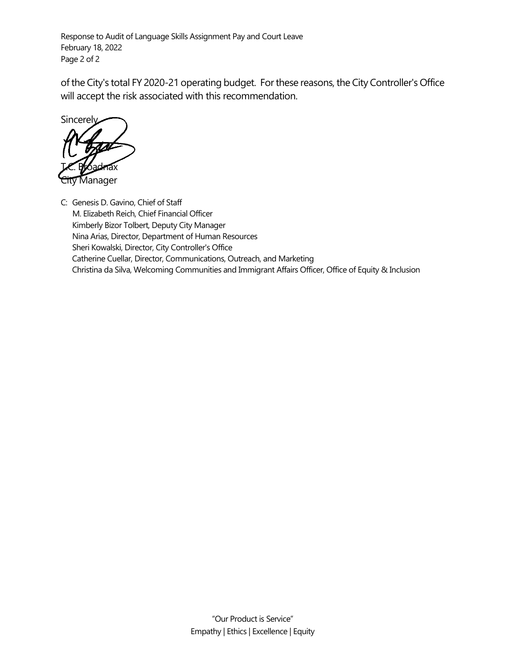Response to Audit of Language Skills Assignment Pay and Court Leave February 18, 2022 Page 2 of 2

of the City's total FY 2020-21 operating budget. For these reasons, the City Controller's Office will accept the risk associated with this recommendation.

**Sincerely** T.C. Broadnax **Manager** 

C: Genesis D. Gavino, Chief of Staff M. Elizabeth Reich, Chief Financial Officer Kimberly Bizor Tolbert, Deputy City Manager Nina Arias, Director, Department of Human Resources Sheri Kowalski, Director, City Controller's Office Catherine Cuellar, Director, Communications, Outreach, and Marketing Christina da Silva, Welcoming Communities and Immigrant Affairs Officer, Office of Equity & Inclusion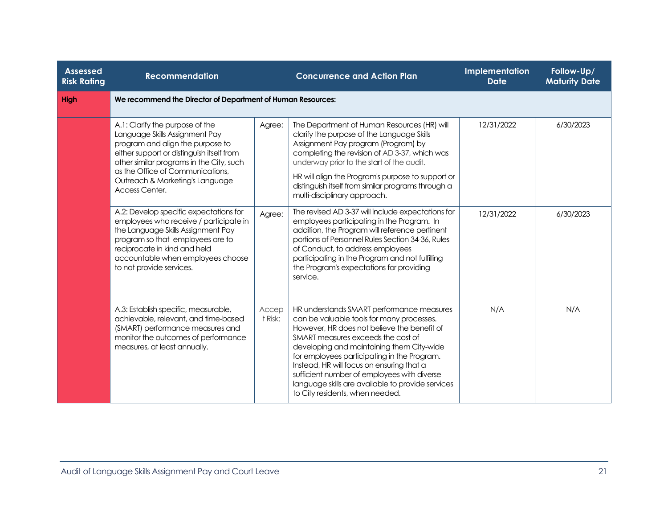| <b>Assessed</b><br><b>Risk Rating</b> | <b>Recommendation</b>                                                                                                                                                                                                                                                                   |                  | <b>Concurrence and Action Plan</b>                                                                                                                                                                                                                                                                                                                                                                                                                          | Implementation<br><b>Date</b> | Follow-Up/<br><b>Maturity Date</b> |  |  |
|---------------------------------------|-----------------------------------------------------------------------------------------------------------------------------------------------------------------------------------------------------------------------------------------------------------------------------------------|------------------|-------------------------------------------------------------------------------------------------------------------------------------------------------------------------------------------------------------------------------------------------------------------------------------------------------------------------------------------------------------------------------------------------------------------------------------------------------------|-------------------------------|------------------------------------|--|--|
| High                                  | We recommend the Director of Department of Human Resources:                                                                                                                                                                                                                             |                  |                                                                                                                                                                                                                                                                                                                                                                                                                                                             |                               |                                    |  |  |
|                                       | A.1: Clarify the purpose of the<br>Language Skills Assignment Pay<br>program and align the purpose to<br>either support or distinguish itself from<br>other similar programs in the City, such<br>as the Office of Communications,<br>Outreach & Marketing's Language<br>Access Center. | Agree:           | The Department of Human Resources (HR) will<br>clarify the purpose of the Language Skills<br>Assignment Pay program (Program) by<br>completing the revision of AD 3-37, which was<br>underway prior to the start of the audit.<br>HR will align the Program's purpose to support or<br>distinguish itself from similar programs through a<br>multi-disciplinary approach.                                                                                   | 12/31/2022                    | 6/30/2023                          |  |  |
|                                       | A.2: Develop specific expectations for<br>employees who receive / participate in<br>the Language Skills Assignment Pay<br>program so that employees are to<br>reciprocate in kind and held<br>accountable when employees choose<br>to not provide services.                             | Agree:           | The revised AD 3-37 will include expectations for<br>employees participating in the Program. In<br>addition, the Program will reference pertinent<br>portions of Personnel Rules Section 34-36, Rules<br>of Conduct, to address employees<br>participating in the Program and not fulfilling<br>the Program's expectations for providing<br>service.                                                                                                        | 12/31/2022                    | 6/30/2023                          |  |  |
|                                       | A.3: Establish specific, measurable,<br>achievable, relevant, and time-based<br>(SMART) performance measures and<br>monitor the outcomes of performance<br>measures, at least annually.                                                                                                 | Accep<br>t Risk: | HR understands SMART performance measures<br>can be valuable tools for many processes.<br>However, HR does not believe the benefit of<br>SMART measures exceeds the cost of<br>developing and maintaining them City-wide<br>for employees participating in the Program.<br>Instead, HR will focus on ensuring that a<br>sufficient number of employees with diverse<br>language skills are available to provide services<br>to City residents, when needed. | N/A                           | N/A                                |  |  |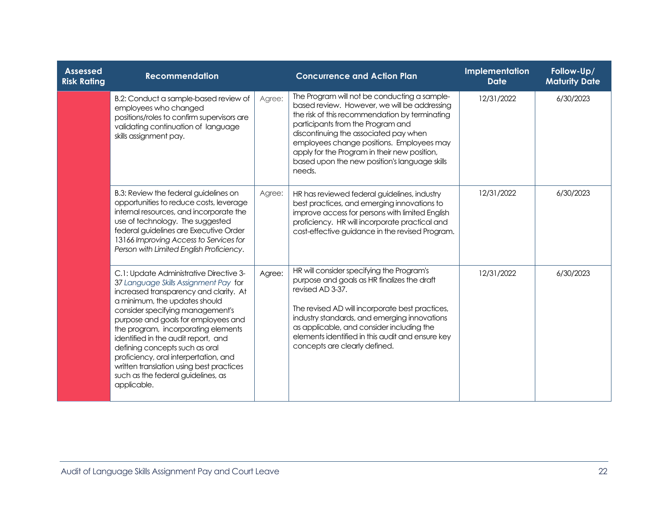| <b>Assessed</b><br><b>Risk Rating</b> | <b>Recommendation</b>                                                                                                                                                                                                                                                                                                                                                                                                                                                                            |        | <b>Concurrence and Action Plan</b>                                                                                                                                                                                                                                                                                                                                                   | Implementation<br><b>Date</b> | Follow-Up/<br><b>Maturity Date</b> |
|---------------------------------------|--------------------------------------------------------------------------------------------------------------------------------------------------------------------------------------------------------------------------------------------------------------------------------------------------------------------------------------------------------------------------------------------------------------------------------------------------------------------------------------------------|--------|--------------------------------------------------------------------------------------------------------------------------------------------------------------------------------------------------------------------------------------------------------------------------------------------------------------------------------------------------------------------------------------|-------------------------------|------------------------------------|
|                                       | B.2: Conduct a sample-based review of<br>employees who changed<br>positions/roles to confirm supervisors are<br>validating continuation of language<br>skills assignment pay.                                                                                                                                                                                                                                                                                                                    | Agree: | The Program will not be conducting a sample-<br>based review. However, we will be addressing<br>the risk of this recommendation by terminating<br>participants from the Program and<br>discontinuing the associated pay when<br>employees change positions. Employees may<br>apply for the Program in their new position,<br>based upon the new position's language skills<br>needs. | 12/31/2022                    | 6/30/2023                          |
|                                       | B.3: Review the federal guidelines on<br>opportunities to reduce costs, leverage<br>internal resources, and incorporate the<br>use of technology. The suggested<br>federal guidelines are Executive Order<br>13166 Improving Access to Services for<br>Person with Limited English Proficiency.                                                                                                                                                                                                  | Agree: | HR has reviewed federal guidelines, industry<br>best practices, and emerging innovations to<br>improve access for persons with limited English<br>proficiency. HR will incorporate practical and<br>cost-effective guidance in the revised Program.                                                                                                                                  | 12/31/2022                    | 6/30/2023                          |
|                                       | C.1: Update Administrative Directive 3-<br>37 Language Skills Assignment Pay for<br>increased transparency and clarity. At<br>a minimum, the updates should<br>consider specifying management's<br>purpose and goals for employees and<br>the program, incorporating elements<br>identified in the audit report, and<br>defining concepts such as oral<br>proficiency, oral interpertation, and<br>written translation using best practices<br>such as the federal guidelines, as<br>applicable. | Agree: | HR will consider specifying the Program's<br>purpose and goals as HR finalizes the draft<br>revised AD 3-37.<br>The revised AD will incorporate best practices,<br>industry standards, and emerging innovations<br>as applicable, and consider including the<br>elements identified in this audit and ensure key<br>concepts are clearly defined.                                    | 12/31/2022                    | 6/30/2023                          |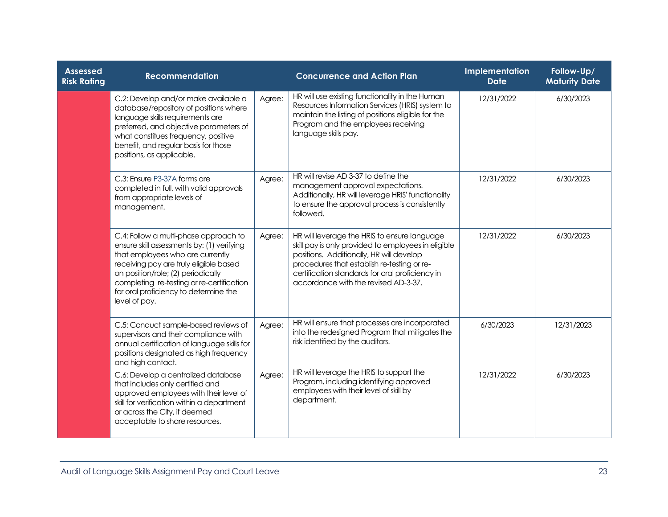| <b>Assessed</b><br><b>Risk Rating</b> | <b>Recommendation</b>                                                                                                                                                                                                                                                                                          |        | <b>Concurrence and Action Plan</b>                                                                                                                                                                                                                                                        | Implementation<br><b>Date</b> | Follow-Up/<br><b>Maturity Date</b> |
|---------------------------------------|----------------------------------------------------------------------------------------------------------------------------------------------------------------------------------------------------------------------------------------------------------------------------------------------------------------|--------|-------------------------------------------------------------------------------------------------------------------------------------------------------------------------------------------------------------------------------------------------------------------------------------------|-------------------------------|------------------------------------|
|                                       | C.2: Develop and/or make available a<br>database/repository of positions where<br>language skills requirements are<br>preferred, and objective parameters of<br>what constitues frequency, positive<br>benefit, and regular basis for those<br>positions, as applicable.                                       | Agree: | HR will use existing functionality in the Human<br>Resources Information Services (HRIS) system to<br>maintain the listing of positions eligible for the<br>Program and the employees receiving<br>language skills pay.                                                                   | 12/31/2022                    | 6/30/2023                          |
|                                       | C.3: Ensure P3-37A forms are<br>completed in full, with valid approvals<br>from appropriate levels of<br>management.                                                                                                                                                                                           | Agree: | HR will revise AD 3-37 to define the<br>management approval expectations.<br>Additionally, HR will leverage HRIS' functionality<br>to ensure the approval process is consistently<br>followed.                                                                                            | 12/31/2022                    | 6/30/2023                          |
|                                       | C.4: Follow a multi-phase approach to<br>ensure skill assessments by: (1) verifying<br>that employees who are currently<br>receiving pay are truly eligible based<br>on position/role; (2) periodically<br>completing re-testing or re-certification<br>for oral proficiency to determine the<br>level of pay. | Agree: | HR will leverage the HRIS to ensure language<br>skill pay is only provided to employees in eligible<br>positions. Additionally, HR will develop<br>procedures that establish re-testing or re-<br>certification standards for oral proficiency in<br>accordance with the revised AD-3-37. | 12/31/2022                    | 6/30/2023                          |
|                                       | C.5: Conduct sample-based reviews of<br>supervisors and their compliance with<br>annual certification of language skills for<br>positions designated as high frequency<br>and high contact.                                                                                                                    | Agree: | HR will ensure that processes are incorporated<br>into the redesigned Program that mitigates the<br>risk identified by the auditors.                                                                                                                                                      | 6/30/2023                     | 12/31/2023                         |
|                                       | C.6: Develop a centralized database<br>that includes only certified and<br>approved employees with their level of<br>skill for verification within a department<br>or across the City, if deemed<br>acceptable to share resources.                                                                             | Agree: | HR will leverage the HRIS to support the<br>Program, including identifying approved<br>employees with their level of skill by<br>department.                                                                                                                                              | 12/31/2022                    | 6/30/2023                          |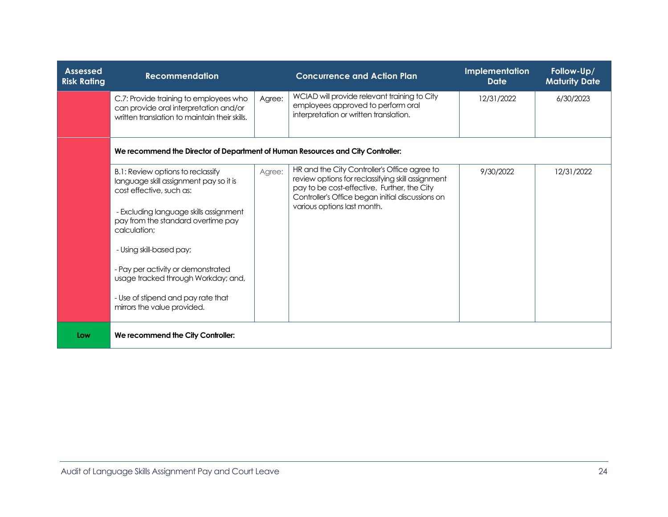| <b>Assessed</b><br><b>Risk Rating</b> | <b>Recommendation</b>                                                                                                                                                                                                                                                                                                                                                                 |        | <b>Concurrence and Action Plan</b>                                                                                                                                                                                                  | Implementation<br><b>Date</b> | Follow-Up/<br><b>Maturity Date</b> |
|---------------------------------------|---------------------------------------------------------------------------------------------------------------------------------------------------------------------------------------------------------------------------------------------------------------------------------------------------------------------------------------------------------------------------------------|--------|-------------------------------------------------------------------------------------------------------------------------------------------------------------------------------------------------------------------------------------|-------------------------------|------------------------------------|
|                                       | C.7: Provide training to employees who<br>can provide oral interpretation and/or<br>written translation to maintain their skills.                                                                                                                                                                                                                                                     | Agree: | WCIAD will provide relevant training to City<br>employees approved to perform oral<br>interpretation or written translation.                                                                                                        | 12/31/2022                    | 6/30/2023                          |
|                                       | We recommend the Director of Department of Human Resources and City Controller:                                                                                                                                                                                                                                                                                                       |        |                                                                                                                                                                                                                                     |                               |                                    |
|                                       | B.1: Review options to reclassify<br>language skill assignment pay so it is<br>cost effective, such as:<br>- Excluding language skills assignment<br>pay from the standard overtime pay<br>calculation:<br>- Using skill-based pay;<br>- Pay per activity or demonstrated<br>usage tracked through Workday; and,<br>- Use of stipend and pay rate that<br>mirrors the value provided. | Agree: | HR and the City Controller's Office agree to<br>review options for reclassifying skill assignment<br>pay to be cost-effective. Further, the City<br>Controller's Office began initial discussions on<br>various options last month. | 9/30/2022                     | 12/31/2022                         |
| Low                                   | We recommend the City Controller:                                                                                                                                                                                                                                                                                                                                                     |        |                                                                                                                                                                                                                                     |                               |                                    |